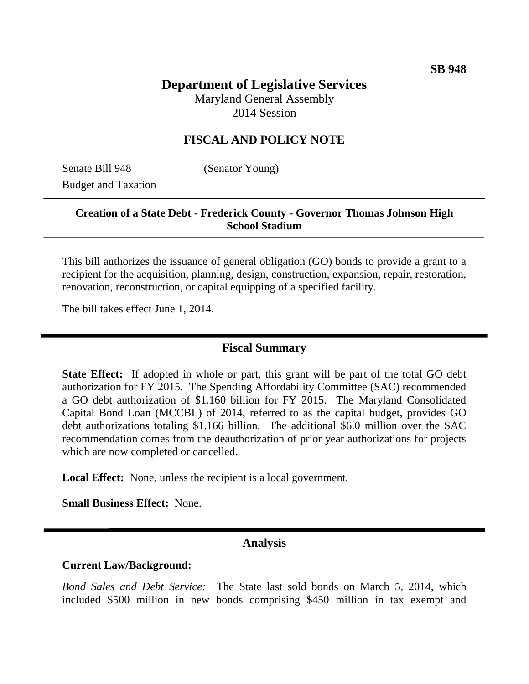# **Department of Legislative Services**

Maryland General Assembly 2014 Session

## **FISCAL AND POLICY NOTE**

Senate Bill 948 (Senator Young) Budget and Taxation

## **Creation of a State Debt - Frederick County - Governor Thomas Johnson High School Stadium**

This bill authorizes the issuance of general obligation (GO) bonds to provide a grant to a recipient for the acquisition, planning, design, construction, expansion, repair, restoration, renovation, reconstruction, or capital equipping of a specified facility.

The bill takes effect June 1, 2014.

### **Fiscal Summary**

**State Effect:** If adopted in whole or part, this grant will be part of the total GO debt authorization for FY 2015. The Spending Affordability Committee (SAC) recommended a GO debt authorization of \$1.160 billion for FY 2015. The Maryland Consolidated Capital Bond Loan (MCCBL) of 2014, referred to as the capital budget, provides GO debt authorizations totaling \$1.166 billion. The additional \$6.0 million over the SAC recommendation comes from the deauthorization of prior year authorizations for projects which are now completed or cancelled.

**Local Effect:** None, unless the recipient is a local government.

**Small Business Effect:** None.

## **Analysis**

#### **Current Law/Background:**

*Bond Sales and Debt Service:* The State last sold bonds on March 5, 2014, which included \$500 million in new bonds comprising \$450 million in tax exempt and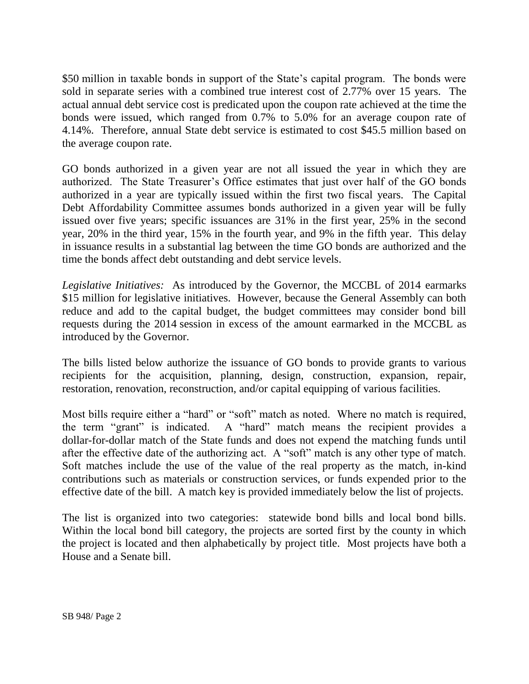\$50 million in taxable bonds in support of the State's capital program. The bonds were sold in separate series with a combined true interest cost of 2.77% over 15 years. The actual annual debt service cost is predicated upon the coupon rate achieved at the time the bonds were issued, which ranged from 0.7% to 5.0% for an average coupon rate of 4.14%. Therefore, annual State debt service is estimated to cost \$45.5 million based on the average coupon rate.

GO bonds authorized in a given year are not all issued the year in which they are authorized. The State Treasurer's Office estimates that just over half of the GO bonds authorized in a year are typically issued within the first two fiscal years. The Capital Debt Affordability Committee assumes bonds authorized in a given year will be fully issued over five years; specific issuances are 31% in the first year, 25% in the second year, 20% in the third year, 15% in the fourth year, and 9% in the fifth year. This delay in issuance results in a substantial lag between the time GO bonds are authorized and the time the bonds affect debt outstanding and debt service levels.

*Legislative Initiatives:* As introduced by the Governor, the MCCBL of 2014 earmarks \$15 million for legislative initiatives. However, because the General Assembly can both reduce and add to the capital budget, the budget committees may consider bond bill requests during the 2014 session in excess of the amount earmarked in the MCCBL as introduced by the Governor.

The bills listed below authorize the issuance of GO bonds to provide grants to various recipients for the acquisition, planning, design, construction, expansion, repair, restoration, renovation, reconstruction, and/or capital equipping of various facilities.

Most bills require either a "hard" or "soft" match as noted. Where no match is required, the term "grant" is indicated. A "hard" match means the recipient provides a dollar-for-dollar match of the State funds and does not expend the matching funds until after the effective date of the authorizing act. A "soft" match is any other type of match. Soft matches include the use of the value of the real property as the match, in-kind contributions such as materials or construction services, or funds expended prior to the effective date of the bill. A match key is provided immediately below the list of projects.

The list is organized into two categories: statewide bond bills and local bond bills. Within the local bond bill category, the projects are sorted first by the county in which the project is located and then alphabetically by project title. Most projects have both a House and a Senate bill.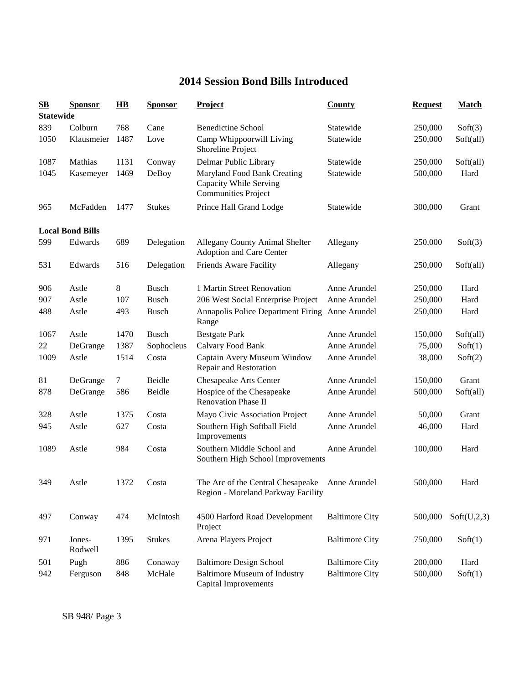# **2014 Session Bond Bills Introduced**

| $\mathbf{S}\mathbf{B}$ | <b>Sponsor</b>          | $\mathbf{H}\mathbf{B}$ | <b>Sponsor</b> | <b>Project</b>                                                                      | County                | <b>Request</b> | <b>Match</b> |  |  |  |  |
|------------------------|-------------------------|------------------------|----------------|-------------------------------------------------------------------------------------|-----------------------|----------------|--------------|--|--|--|--|
|                        | <b>Statewide</b>        |                        |                |                                                                                     |                       |                |              |  |  |  |  |
| 839                    | Colburn                 | 768                    | Cane           | <b>Benedictine School</b>                                                           | Statewide             | 250,000        | Soft(3)      |  |  |  |  |
| 1050                   | Klausmeier              | 1487                   | Love           | Camp Whippoorwill Living<br>Shoreline Project                                       | Statewide             | 250,000        | Soft(all)    |  |  |  |  |
| 1087                   | Mathias                 | 1131                   | Conway         | Delmar Public Library                                                               | Statewide             | 250,000        | Soft(all)    |  |  |  |  |
| 1045                   | Kasemeyer               | 1469                   | DeBoy          | Maryland Food Bank Creating<br>Capacity While Serving<br><b>Communities Project</b> | Statewide             | 500,000        | Hard         |  |  |  |  |
| 965                    | McFadden                | 1477                   | <b>Stukes</b>  | Prince Hall Grand Lodge                                                             | Statewide             | 300,000        | Grant        |  |  |  |  |
|                        | <b>Local Bond Bills</b> |                        |                |                                                                                     |                       |                |              |  |  |  |  |
| 599                    | Edwards                 | 689                    | Delegation     | Allegany County Animal Shelter<br>Adoption and Care Center                          | Allegany              | 250,000        | Soft(3)      |  |  |  |  |
| 531                    | Edwards                 | 516                    | Delegation     | Friends Aware Facility                                                              | Allegany              | 250,000        | Soft(all)    |  |  |  |  |
| 906                    | Astle                   | 8                      | <b>Busch</b>   | 1 Martin Street Renovation                                                          | Anne Arundel          | 250,000        | Hard         |  |  |  |  |
| 907                    | Astle                   | 107                    | <b>Busch</b>   | 206 West Social Enterprise Project                                                  | Anne Arundel          | 250,000        | Hard         |  |  |  |  |
| 488                    | Astle                   | 493                    | <b>Busch</b>   | Annapolis Police Department Firing Anne Arundel<br>Range                            |                       | 250,000        | Hard         |  |  |  |  |
| 1067                   | Astle                   | 1470                   | <b>Busch</b>   | <b>Bestgate Park</b>                                                                | Anne Arundel          | 150,000        | Soft(all)    |  |  |  |  |
| 22                     | DeGrange                | 1387                   | Sophocleus     | Calvary Food Bank                                                                   | Anne Arundel          | 75,000         | Soft(1)      |  |  |  |  |
| 1009                   | Astle                   | 1514                   | Costa          | Captain Avery Museum Window<br>Repair and Restoration                               | Anne Arundel          | 38,000         | Soft(2)      |  |  |  |  |
| 81                     | DeGrange                | 7                      | Beidle         | Chesapeake Arts Center                                                              | Anne Arundel          | 150,000        | Grant        |  |  |  |  |
| 878                    | DeGrange                | 586                    | Beidle         | Hospice of the Chesapeake<br><b>Renovation Phase II</b>                             | Anne Arundel          | 500,000        | Soft(all)    |  |  |  |  |
| 328                    | Astle                   | 1375                   | Costa          | Mayo Civic Association Project                                                      | Anne Arundel          | 50,000         | Grant        |  |  |  |  |
| 945                    | Astle                   | 627                    | Costa          | Southern High Softball Field<br>Improvements                                        | Anne Arundel          | 46,000         | Hard         |  |  |  |  |
| 1089                   | Astle                   | 984                    | Costa          | Southern Middle School and<br>Southern High School Improvements                     | Anne Arundel          | 100,000        | Hard         |  |  |  |  |
| 349                    | Astle                   | 1372                   | Costa          | The Arc of the Central Chesapeake<br>Region - Moreland Parkway Facility             | Anne Arundel          | 500,000        | Hard         |  |  |  |  |
| 497                    | Conway                  | 474                    | McIntosh       | 4500 Harford Road Development<br>Project                                            | <b>Baltimore City</b> | 500,000        | Soft(U,2,3)  |  |  |  |  |
| 971                    | Jones-<br>Rodwell       | 1395                   | <b>Stukes</b>  | Arena Players Project                                                               | <b>Baltimore City</b> | 750,000        | Soft(1)      |  |  |  |  |
| 501                    | Pugh                    | 886                    | Conaway        | <b>Baltimore Design School</b>                                                      | <b>Baltimore City</b> | 200,000        | Hard         |  |  |  |  |
| 942                    | Ferguson                | 848                    | McHale         | <b>Baltimore Museum of Industry</b><br>Capital Improvements                         | <b>Baltimore City</b> | 500,000        | Soft(1)      |  |  |  |  |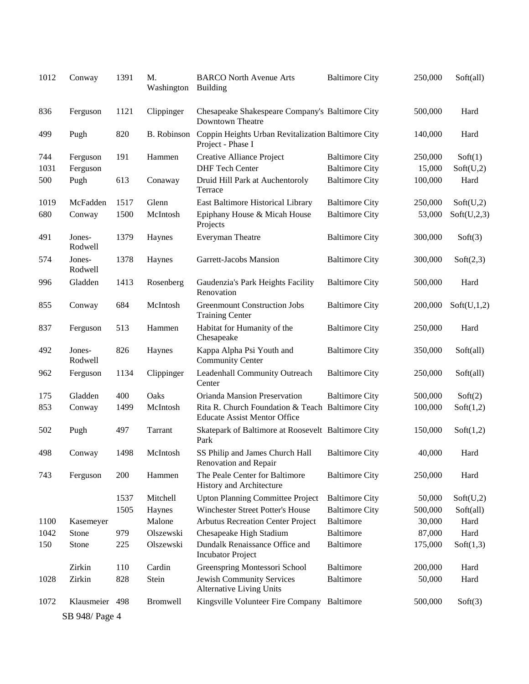| 1012 | Conway            | 1391 | M.<br>Washington   | <b>BARCO North Avenue Arts</b><br><b>Building</b>                                       | <b>Baltimore City</b> | 250,000 | Soft(all)   |
|------|-------------------|------|--------------------|-----------------------------------------------------------------------------------------|-----------------------|---------|-------------|
| 836  | Ferguson          | 1121 | Clippinger         | Chesapeake Shakespeare Company's Baltimore City<br>Downtown Theatre                     |                       | 500,000 | Hard        |
| 499  | Pugh              | 820  | <b>B.</b> Robinson | Coppin Heights Urban Revitalization Baltimore City<br>Project - Phase I                 |                       | 140,000 | Hard        |
| 744  | Ferguson          | 191  | Hammen             | Creative Alliance Project                                                               | <b>Baltimore City</b> | 250,000 | Soft(1)     |
| 1031 | Ferguson          |      |                    | <b>DHF Tech Center</b>                                                                  | <b>Baltimore City</b> | 15,000  | Soft(U,2)   |
| 500  | Pugh              | 613  | Conaway            | Druid Hill Park at Auchentoroly<br>Terrace                                              | <b>Baltimore City</b> | 100,000 | Hard        |
| 1019 | McFadden          | 1517 | Glenn              | East Baltimore Historical Library                                                       | <b>Baltimore City</b> | 250,000 | Soft(U,2)   |
| 680  | Conway            | 1500 | McIntosh           | Epiphany House & Micah House<br>Projects                                                | <b>Baltimore City</b> | 53,000  | Soft(U,2,3) |
| 491  | Jones-<br>Rodwell | 1379 | Haynes             | Everyman Theatre                                                                        | <b>Baltimore City</b> | 300,000 | Soft(3)     |
| 574  | Jones-<br>Rodwell | 1378 | Haynes             | Garrett-Jacobs Mansion                                                                  | <b>Baltimore City</b> | 300,000 | Soft(2,3)   |
| 996  | Gladden           | 1413 | Rosenberg          | Gaudenzia's Park Heights Facility<br>Renovation                                         | <b>Baltimore City</b> | 500,000 | Hard        |
| 855  | Conway            | 684  | McIntosh           | <b>Greenmount Construction Jobs</b><br><b>Training Center</b>                           | <b>Baltimore City</b> | 200,000 | Soft(U,1,2) |
| 837  | Ferguson          | 513  | Hammen             | Habitat for Humanity of the<br>Chesapeake                                               | <b>Baltimore City</b> | 250,000 | Hard        |
| 492  | Jones-<br>Rodwell | 826  | Haynes             | Kappa Alpha Psi Youth and<br><b>Community Center</b>                                    | <b>Baltimore City</b> | 350,000 | Soft(all)   |
| 962  | Ferguson          | 1134 | Clippinger         | Leadenhall Community Outreach<br>Center                                                 | <b>Baltimore City</b> | 250,000 | Soft(all)   |
| 175  | Gladden           | 400  | Oaks               | Orianda Mansion Preservation                                                            | <b>Baltimore City</b> | 500,000 | Soft(2)     |
| 853  | Conway            | 1499 | McIntosh           | Rita R. Church Foundation & Teach Baltimore City<br><b>Educate Assist Mentor Office</b> |                       | 100,000 | Soft(1,2)   |
| 502  | Pugh              | 497  | Tarrant            | Skatepark of Baltimore at Roosevelt Baltimore City<br>Park                              |                       | 150,000 | Soft(1,2)   |
| 498  | Conway            | 1498 | McIntosh           | SS Philip and James Church Hall<br>Renovation and Repair                                | <b>Baltimore City</b> | 40,000  | Hard        |
| 743  | Ferguson          | 200  | Hammen             | The Peale Center for Baltimore<br>History and Architecture                              | <b>Baltimore City</b> | 250,000 | Hard        |
|      |                   | 1537 | Mitchell           | <b>Upton Planning Committee Project</b>                                                 | <b>Baltimore City</b> | 50,000  | Soft(U,2)   |
|      |                   | 1505 | Haynes             | Winchester Street Potter's House                                                        | <b>Baltimore City</b> | 500,000 | Soft(all)   |
| 1100 | Kasemeyer         |      | Malone             | <b>Arbutus Recreation Center Project</b>                                                | Baltimore             | 30,000  | Hard        |
| 1042 | Stone             | 979  | Olszewski          | Chesapeake High Stadium                                                                 | <b>Baltimore</b>      | 87,000  | Hard        |
| 150  | Stone             | 225  | Olszewski          | Dundalk Renaissance Office and<br><b>Incubator Project</b>                              | <b>Baltimore</b>      | 175,000 | Soft(1,3)   |
|      | Zirkin            | 110  | Cardin             | Greenspring Montessori School                                                           | Baltimore             | 200,000 | Hard        |
| 1028 | Zirkin            | 828  | Stein              | Jewish Community Services<br><b>Alternative Living Units</b>                            | <b>Baltimore</b>      | 50,000  | Hard        |
| 1072 | Klausmeier 498    |      | <b>Bromwell</b>    | Kingsville Volunteer Fire Company Baltimore                                             |                       | 500,000 | Soft(3)     |
|      | SB 948/ Page 4    |      |                    |                                                                                         |                       |         |             |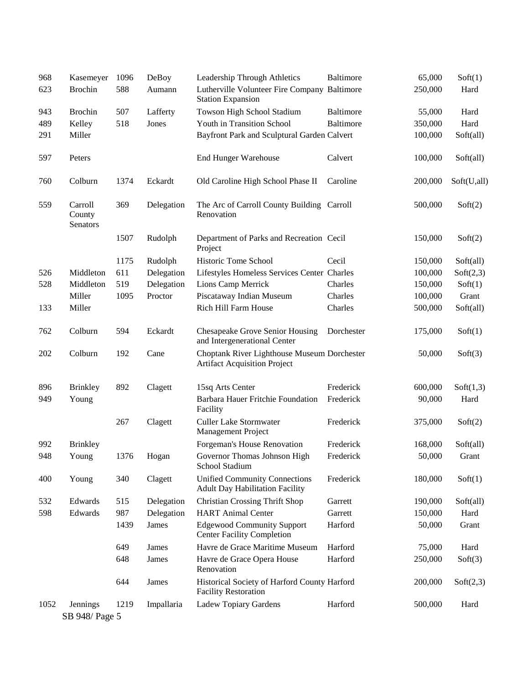| 968  | Kasemeyer                     | 1096 | DeBoy      | Leadership Through Athletics                                                       | Baltimore  | 65,000  | Soft(1)     |
|------|-------------------------------|------|------------|------------------------------------------------------------------------------------|------------|---------|-------------|
| 623  | <b>Brochin</b>                | 588  | Aumann     | Lutherville Volunteer Fire Company Baltimore<br><b>Station Expansion</b>           |            | 250,000 | Hard        |
| 943  | <b>Brochin</b>                | 507  | Lafferty   | Towson High School Stadium                                                         | Baltimore  | 55,000  | Hard        |
| 489  | Kelley                        | 518  | Jones      | Youth in Transition School                                                         | Baltimore  | 350,000 | Hard        |
| 291  | Miller                        |      |            | Bayfront Park and Sculptural Garden Calvert                                        |            | 100,000 | Soft(all)   |
| 597  | Peters                        |      |            | <b>End Hunger Warehouse</b>                                                        | Calvert    | 100,000 | Soft(all)   |
| 760  | Colburn                       | 1374 | Eckardt    | Old Caroline High School Phase II                                                  | Caroline   | 200,000 | Soft(U,all) |
| 559  | Carroll<br>County<br>Senators | 369  | Delegation | The Arc of Carroll County Building Carroll<br>Renovation                           |            | 500,000 | Soft(2)     |
|      |                               | 1507 | Rudolph    | Department of Parks and Recreation Cecil<br>Project                                |            | 150,000 | Soft(2)     |
|      |                               | 1175 | Rudolph    | Historic Tome School                                                               | Cecil      | 150,000 | Soft(all)   |
| 526  | Middleton                     | 611  | Delegation | Lifestyles Homeless Services Center Charles                                        |            | 100,000 | Soft(2,3)   |
| 528  | Middleton                     | 519  | Delegation | Lions Camp Merrick                                                                 | Charles    | 150,000 | Soft(1)     |
|      | Miller                        | 1095 | Proctor    | Piscataway Indian Museum                                                           | Charles    | 100,000 | Grant       |
| 133  | Miller                        |      |            | Rich Hill Farm House                                                               | Charles    | 500,000 | Soft(all)   |
| 762  | Colburn                       | 594  | Eckardt    | Chesapeake Grove Senior Housing<br>and Intergenerational Center                    | Dorchester | 175,000 | Soft(1)     |
| 202  | Colburn                       | 192  | Cane       | Choptank River Lighthouse Museum Dorchester<br><b>Artifact Acquisition Project</b> |            | 50,000  | Soft(3)     |
| 896  | <b>Brinkley</b>               | 892  | Clagett    | 15sq Arts Center                                                                   | Frederick  | 600,000 | Soft(1,3)   |
| 949  | Young                         |      |            | Barbara Hauer Fritchie Foundation<br>Facility                                      | Frederick  | 90,000  | Hard        |
|      |                               | 267  | Clagett    | <b>Culler Lake Stormwater</b><br>Management Project                                | Frederick  | 375,000 | Soft(2)     |
| 992  | <b>Brinkley</b>               |      |            | Forgeman's House Renovation                                                        | Frederick  | 168,000 | Soft(all)   |
| 948  | Young                         | 1376 | Hogan      | Governor Thomas Johnson High<br>School Stadium                                     | Frederick  | 50,000  | Grant       |
| 400  | Young                         | 340  | Clagett    | <b>Unified Community Connections</b><br><b>Adult Day Habilitation Facility</b>     | Frederick  | 180,000 | Soft(1)     |
| 532  | Edwards                       | 515  | Delegation | <b>Christian Crossing Thrift Shop</b>                                              | Garrett    | 190,000 | Soft(all)   |
| 598  | Edwards                       | 987  | Delegation | <b>HART</b> Animal Center                                                          | Garrett    | 150,000 | Hard        |
|      |                               | 1439 | James      | <b>Edgewood Community Support</b><br><b>Center Facility Completion</b>             | Harford    | 50,000  | Grant       |
|      |                               | 649  | James      | Havre de Grace Maritime Museum                                                     | Harford    | 75,000  | Hard        |
|      |                               | 648  | James      | Havre de Grace Opera House<br>Renovation                                           | Harford    | 250,000 | Soft(3)     |
|      |                               | 644  | James      | Historical Society of Harford County Harford<br><b>Facility Restoration</b>        |            | 200,000 | Soft(2,3)   |
| 1052 | Jennings                      | 1219 | Impallaria | Ladew Topiary Gardens                                                              | Harford    | 500,000 | Hard        |
|      | SB 948/ Page 5                |      |            |                                                                                    |            |         |             |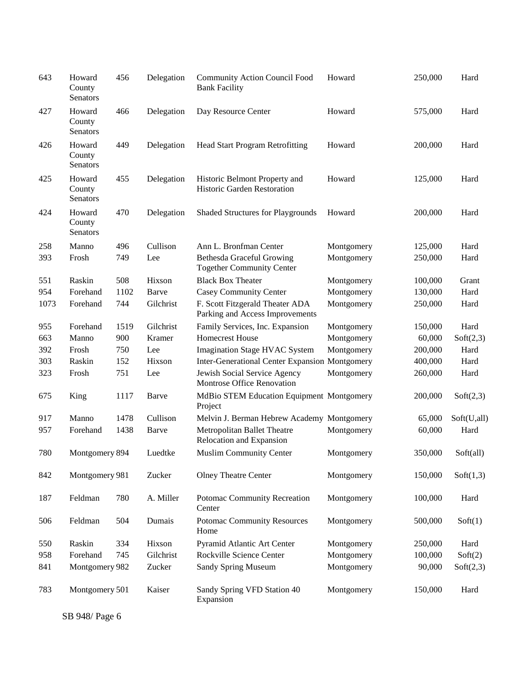| 643  | Howard<br>County<br>Senators | 456  | Delegation | <b>Community Action Council Food</b><br><b>Bank Facility</b>         | Howard     | 250,000 | Hard        |
|------|------------------------------|------|------------|----------------------------------------------------------------------|------------|---------|-------------|
| 427  | Howard<br>County<br>Senators | 466  | Delegation | Day Resource Center                                                  | Howard     | 575,000 | Hard        |
| 426  | Howard<br>County<br>Senators | 449  | Delegation | <b>Head Start Program Retrofitting</b>                               | Howard     | 200,000 | Hard        |
| 425  | Howard<br>County<br>Senators | 455  | Delegation | Historic Belmont Property and<br>Historic Garden Restoration         | Howard     | 125,000 | Hard        |
| 424  | Howard<br>County<br>Senators | 470  | Delegation | <b>Shaded Structures for Playgrounds</b>                             | Howard     | 200,000 | Hard        |
| 258  | Manno                        | 496  | Cullison   | Ann L. Bronfman Center                                               | Montgomery | 125,000 | Hard        |
| 393  | Frosh                        | 749  | Lee        | <b>Bethesda Graceful Growing</b><br><b>Together Community Center</b> | Montgomery | 250,000 | Hard        |
| 551  | Raskin                       | 508  | Hixson     | <b>Black Box Theater</b>                                             | Montgomery | 100,000 | Grant       |
| 954  | Forehand                     | 1102 | Barve      | <b>Casey Community Center</b>                                        | Montgomery | 130,000 | Hard        |
| 1073 | Forehand                     | 744  | Gilchrist  | F. Scott Fitzgerald Theater ADA<br>Parking and Access Improvements   | Montgomery | 250,000 | Hard        |
| 955  | Forehand                     | 1519 | Gilchrist  | Family Services, Inc. Expansion                                      | Montgomery | 150,000 | Hard        |
| 663  | Manno                        | 900  | Kramer     | <b>Homecrest House</b>                                               | Montgomery | 60,000  | Soft(2,3)   |
| 392  | Frosh                        | 750  | Lee        | <b>Imagination Stage HVAC System</b>                                 | Montgomery | 200,000 | Hard        |
| 303  | Raskin                       | 152  | Hixson     | <b>Inter-Generational Center Expansion Montgomery</b>                |            | 400,000 | Hard        |
| 323  | Frosh                        | 751  | Lee        | Jewish Social Service Agency<br>Montrose Office Renovation           | Montgomery | 260,000 | Hard        |
| 675  | King                         | 1117 | Barve      | MdBio STEM Education Equipment Montgomery<br>Project                 |            | 200,000 | Soft(2,3)   |
| 917  | Manno                        | 1478 | Cullison   | Melvin J. Berman Hebrew Academy Montgomery                           |            | 65,000  | Soft(U,all) |
| 957  | Forehand                     | 1438 | Barve      | Metropolitan Ballet Theatre<br>Relocation and Expansion              | Montgomery | 60,000  | Hard        |
| 780  | Montgomery 894               |      | Luedtke    | <b>Muslim Community Center</b>                                       | Montgomery | 350,000 | Soft(all)   |
| 842  | Montgomery 981               |      | Zucker     | <b>Olney Theatre Center</b>                                          | Montgomery | 150,000 | Soft(1,3)   |
| 187  | Feldman                      | 780  | A. Miller  | Potomac Community Recreation<br>Center                               | Montgomery | 100,000 | Hard        |
| 506  | Feldman                      | 504  | Dumais     | <b>Potomac Community Resources</b><br>Home                           | Montgomery | 500,000 | Soft(1)     |
| 550  | Raskin                       | 334  | Hixson     | Pyramid Atlantic Art Center                                          | Montgomery | 250,000 | Hard        |
| 958  | Forehand                     | 745  | Gilchrist  | Rockville Science Center                                             | Montgomery | 100,000 | Soft(2)     |
| 841  | Montgomery 982               |      | Zucker     | <b>Sandy Spring Museum</b>                                           | Montgomery | 90,000  | Soft(2,3)   |
| 783  | Montgomery 501               |      | Kaiser     | Sandy Spring VFD Station 40<br>Expansion                             | Montgomery | 150,000 | Hard        |

SB 948/ Page 6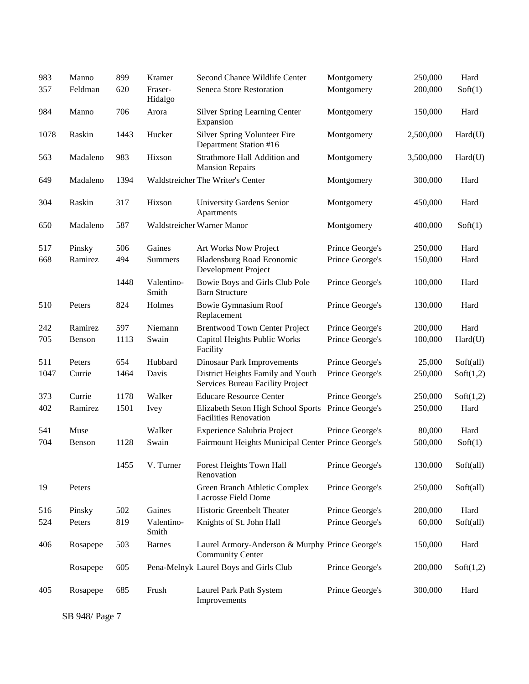| 983  | Manno    | 899  | Kramer              | Second Chance Wildlife Center                                              | Montgomery      | 250,000   | Hard      |
|------|----------|------|---------------------|----------------------------------------------------------------------------|-----------------|-----------|-----------|
| 357  | Feldman  | 620  | Fraser-<br>Hidalgo  | Seneca Store Restoration                                                   | Montgomery      | 200,000   | Soft(1)   |
| 984  | Manno    | 706  | Arora               | <b>Silver Spring Learning Center</b><br>Expansion                          | Montgomery      | 150,000   | Hard      |
| 1078 | Raskin   | 1443 | Hucker              | Silver Spring Volunteer Fire<br>Department Station #16                     | Montgomery      | 2,500,000 | Hard(U)   |
| 563  | Madaleno | 983  | Hixson              | Strathmore Hall Addition and<br><b>Mansion Repairs</b>                     | Montgomery      | 3,500,000 | Hard(U)   |
| 649  | Madaleno | 1394 |                     | Waldstreicher The Writer's Center                                          | Montgomery      | 300,000   | Hard      |
| 304  | Raskin   | 317  | Hixson              | University Gardens Senior<br>Apartments                                    | Montgomery      | 450,000   | Hard      |
| 650  | Madaleno | 587  |                     | Waldstreicher Warner Manor                                                 | Montgomery      | 400,000   | Soft(1)   |
| 517  | Pinsky   | 506  | Gaines              | Art Works Now Project                                                      | Prince George's | 250,000   | Hard      |
| 668  | Ramirez  | 494  | <b>Summers</b>      | <b>Bladensburg Road Economic</b><br>Development Project                    | Prince George's | 150,000   | Hard      |
|      |          | 1448 | Valentino-<br>Smith | Bowie Boys and Girls Club Pole<br><b>Barn Structure</b>                    | Prince George's | 100,000   | Hard      |
| 510  | Peters   | 824  | Holmes              | <b>Bowie Gymnasium Roof</b><br>Replacement                                 | Prince George's | 130,000   | Hard      |
| 242  | Ramirez  | 597  | Niemann             | <b>Brentwood Town Center Project</b>                                       | Prince George's | 200,000   | Hard      |
| 705  | Benson   | 1113 | Swain               | Capitol Heights Public Works<br>Facility                                   | Prince George's | 100,000   | Hard(U)   |
| 511  | Peters   | 654  | Hubbard             | <b>Dinosaur Park Improvements</b>                                          | Prince George's | 25,000    | Soft(all) |
| 1047 | Currie   | 1464 | Davis               | District Heights Family and Youth<br>Services Bureau Facility Project      | Prince George's | 250,000   | Soft(1,2) |
| 373  | Currie   | 1178 | Walker              | <b>Educare Resource Center</b>                                             | Prince George's | 250,000   | Soft(1,2) |
| 402  | Ramirez  | 1501 | <b>Ivey</b>         | Elizabeth Seton High School Sports<br><b>Facilities Renovation</b>         | Prince George's | 250,000   | Hard      |
| 541  | Muse     |      | Walker              | Experience Salubria Project                                                | Prince George's | 80,000    | Hard      |
| 704  | Benson   | 1128 | Swain               | Fairmount Heights Municipal Center Prince George's                         |                 | 500,000   | Soft(1)   |
|      |          | 1455 | V. Turner           | Forest Heights Town Hall<br>Renovation                                     | Prince George's | 130,000   | Soft(all) |
| 19   | Peters   |      |                     | Green Branch Athletic Complex<br>Lacrosse Field Dome                       | Prince George's | 250,000   | Soft(all) |
| 516  | Pinsky   | 502  | Gaines              | Historic Greenbelt Theater                                                 | Prince George's | 200,000   | Hard      |
| 524  | Peters   | 819  | Valentino-<br>Smith | Knights of St. John Hall                                                   | Prince George's | 60,000    | Soft(all) |
| 406  | Rosapepe | 503  | <b>Barnes</b>       | Laurel Armory-Anderson & Murphy Prince George's<br><b>Community Center</b> |                 | 150,000   | Hard      |
|      | Rosapepe | 605  |                     | Pena-Melnyk Laurel Boys and Girls Club                                     | Prince George's | 200,000   | Soft(1,2) |
| 405  | Rosapepe | 685  | Frush               | Laurel Park Path System<br>Improvements                                    | Prince George's | 300,000   | Hard      |

SB 948/ Page 7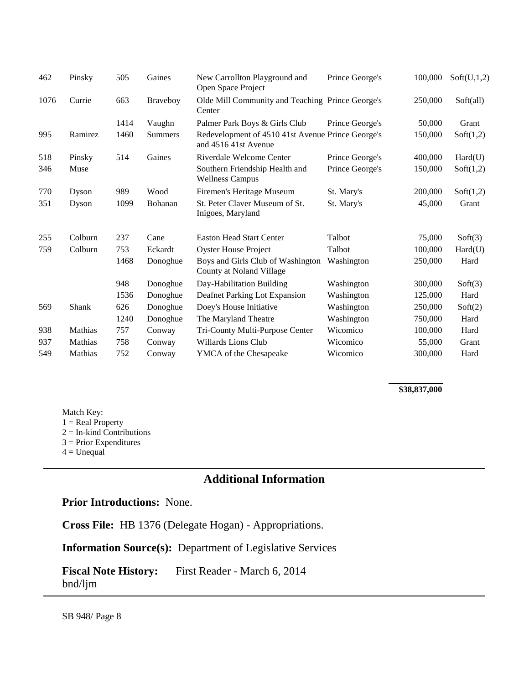| 462  | Pinsky  | 505  | Gaines          | New Carrollton Playground and<br>Open Space Project                       | Prince George's | 100,000 | Soft(U,1,2) |
|------|---------|------|-----------------|---------------------------------------------------------------------------|-----------------|---------|-------------|
| 1076 | Currie  | 663  | <b>Braveboy</b> | Olde Mill Community and Teaching Prince George's<br>Center                |                 | 250,000 | Soft(all)   |
|      |         | 1414 | Vaughn          | Palmer Park Boys & Girls Club                                             | Prince George's | 50,000  | Grant       |
| 995  | Ramirez | 1460 | <b>Summers</b>  | Redevelopment of 4510 41st Avenue Prince George's<br>and 4516 41st Avenue |                 | 150,000 | Soft(1,2)   |
| 518  | Pinsky  | 514  | Gaines          | Riverdale Welcome Center                                                  | Prince George's | 400,000 | Hard(U)     |
| 346  | Muse    |      |                 | Southern Friendship Health and<br><b>Wellness Campus</b>                  | Prince George's | 150,000 | Soft(1,2)   |
| 770  | Dyson   | 989  | Wood            | Firemen's Heritage Museum                                                 | St. Mary's      | 200,000 | Soft(1,2)   |
| 351  | Dyson   | 1099 | Bohanan         | St. Peter Claver Museum of St.<br>Inigoes, Maryland                       | St. Mary's      | 45,000  | Grant       |
| 255  | Colburn | 237  | Cane            | <b>Easton Head Start Center</b>                                           | Talbot          | 75,000  | Soft(3)     |
| 759  | Colburn | 753  | Eckardt         | <b>Oyster House Project</b>                                               | Talbot          | 100,000 | Hard(U)     |
|      |         | 1468 | Donoghue        | Boys and Girls Club of Washington<br>County at Noland Village             | Washington      | 250,000 | Hard        |
|      |         | 948  | Donoghue        | Day-Habilitation Building                                                 | Washington      | 300,000 | Soft(3)     |
|      |         | 1536 | Donoghue        | Deafnet Parking Lot Expansion                                             | Washington      | 125,000 | Hard        |
| 569  | Shank   | 626  | Donoghue        | Doey's House Initiative                                                   | Washington      | 250,000 | Soft(2)     |
|      |         | 1240 | Donoghue        | The Maryland Theatre                                                      | Washington      | 750,000 | Hard        |
| 938  | Mathias | 757  | Conway          | Tri-County Multi-Purpose Center                                           | Wicomico        | 100,000 | Hard        |
| 937  | Mathias | 758  | Conway          | Willards Lions Club                                                       | Wicomico        | 55,000  | Grant       |
| 549  | Mathias | 752  | Conway          | <b>YMCA</b> of the Chesapeake                                             | Wicomico        | 300,000 | Hard        |

#### **\$38,837,000**

Match Key:  $1 = Real Property$  $2 = In$ -kind Contributions 3 = Prior Expenditures  $4 =$  Unequal

# **Additional Information**

#### **Prior Introductions:** None.

**Cross File:** HB 1376 (Delegate Hogan) - Appropriations.

**Information Source(s):** Department of Legislative Services

**Fiscal Note History:** First Reader - March 6, 2014 bnd/ljm